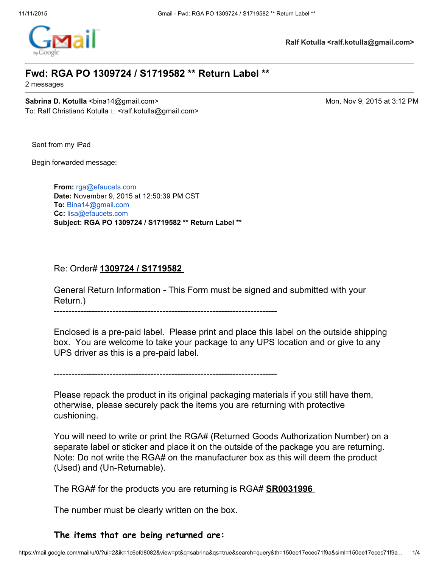

**Ralf Kotulla <ralf.kotulla@gmail.com>**

## **Fwd: RGA PO 1309724 / S1719582 \*\* Return Label \*\***

2 messages

**Sabrina D. Kotulla** <bina14@gmail.com> Mon, Nov 9, 2015 at 3:12 PM To: Ralf Christian Kotulla <ralf.kotulla@gmail.com>

Sent from my iPad

Begin forwarded message:

**From:** [rga@efaucets.com](mailto:rga@efaucets.com) **Date:** November 9, 2015 at 12:50:39 PM CST **To:** [Bina14@gmail.com](mailto:Bina14@gmail.com) **Cc:** [lisa@efaucets.com](mailto:lisa@efaucets.com) **Subject: RGA PO 1309724 / S1719582 \*\* Return Label \*\***

### Re: Order# **1309724 / S1719582**

General Return Information This Form must be signed and submitted with your Return.)

Enclosed is a pre-paid label. Please print and place this label on the outside shipping box. You are welcome to take your package to any UPS location and or give to any UPS driver as this is a pre-paid label.

Please repack the product in its original packaging materials if you still have them, otherwise, please securely pack the items you are returning with protective cushioning.

You will need to write or print the RGA# (Returned Goods Authorization Number) on a separate label or sticker and place it on the outside of the package you are returning. Note: Do not write the RGA# on the manufacturer box as this will deem the product (Used) and (Un-Returnable).

The RGA# for the products you are returning is RGA# **SR0031996**

The number must be clearly written on the box.

## **The items that are being returned are:**